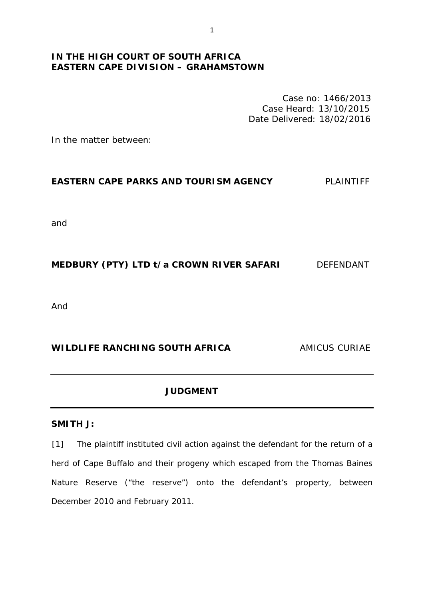# **IN THE HIGH COURT OF SOUTH AFRICA EASTERN CAPE DIVISION – GRAHAMSTOWN**

Case no: 1466/2013 Case Heard: 13/10/2015 Date Delivered: 18/02/2016

In the matter between:

### **EASTERN CAPE PARKS AND TOURISM AGENCY** PLAINTIFF

and

## **MEDBURY (PTY) LTD t/a CROWN RIVER SAFARI** DEFENDANT

And

## **WILDLIFE RANCHING SOUTH AFRICA** AMICUS CURIAE

### **JUDGMENT**

### **SMITH J:**

[1] The plaintiff instituted civil action against the defendant for the return of a herd of Cape Buffalo and their progeny which escaped from the Thomas Baines Nature Reserve ("the reserve") onto the defendant's property, between December 2010 and February 2011.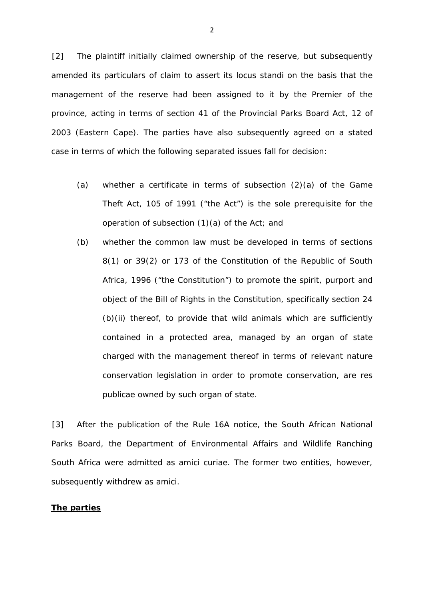[2] The plaintiff initially claimed ownership of the reserve, but subsequently amended its particulars of claim to assert its *locus standi* on the basis that the management of the reserve had been assigned to it by the Premier of the province, acting in terms of section 41 of the Provincial Parks Board Act, 12 of 2003 (Eastern Cape). The parties have also subsequently agreed on a stated case in terms of which the following separated issues fall for decision:

- (a) whether a certificate in terms of subsection (2)(a) of the Game Theft Act, 105 of 1991 ("the Act") is the sole prerequisite for the operation of subsection (1)(a) of the Act; and
- (b) whether the common law must be developed in terms of sections 8(1) or 39(2) or 173 of the Constitution of the Republic of South Africa, 1996 ("the Constitution") to promote the spirit, purport and object of the Bill of Rights in the Constitution, specifically section 24 (b)(ii) thereof, to provide that wild animals which are sufficiently contained in a protected area, managed by an organ of state charged with the management thereof in terms of relevant nature conservation legislation in order to promote conservation, are *res publicae* owned by such organ of state.

[3] After the publication of the Rule 16A notice, the South African National Parks Board, the Department of Environmental Affairs and Wildlife Ranching South Africa were admitted as *amici curiae.* The former two entities, however, subsequently withdrew as *amici.* 

#### **The parties**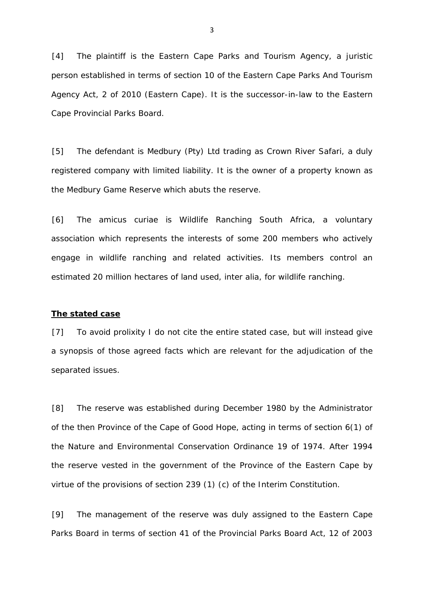[4] The plaintiff is the Eastern Cape Parks and Tourism Agency, a juristic person established in terms of section 10 of the Eastern Cape Parks And Tourism Agency Act, 2 of 2010 (Eastern Cape). It is the successor-in-law to the Eastern Cape Provincial Parks Board.

[5] The defendant is Medbury (Pty) Ltd trading as Crown River Safari, a duly registered company with limited liability. It is the owner of a property known as the Medbury Game Reserve which abuts the reserve.

[6] The *amicus curiae* is Wildlife Ranching South Africa, a voluntary association which represents the interests of some 200 members who actively engage in wildlife ranching and related activities. Its members control an estimated 20 million hectares of land used, *inter alia,* for wildlife ranching.

#### **The stated case**

[7] To avoid prolixity I do not cite the entire stated case, but will instead give a synopsis of those agreed facts which are relevant for the adjudication of the separated issues.

[8] The reserve was established during December 1980 by the Administrator of the then Province of the Cape of Good Hope, acting in terms of section 6(1) of the Nature and Environmental Conservation Ordinance 19 of 1974. After 1994 the reserve vested in the government of the Province of the Eastern Cape by virtue of the provisions of section 239 (1) (c) of the Interim Constitution.

[9] The management of the reserve was duly assigned to the Eastern Cape Parks Board in terms of section 41 of the Provincial Parks Board Act, 12 of 2003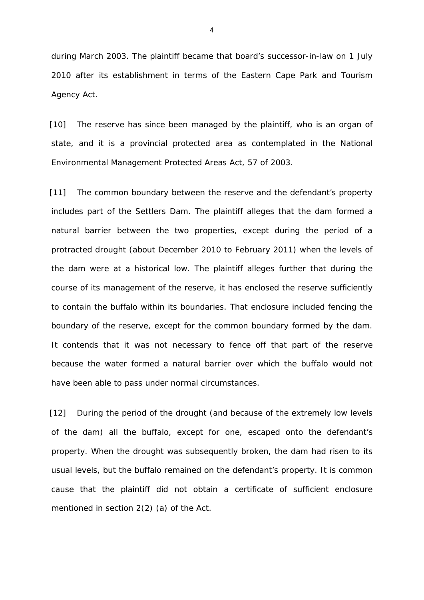during March 2003. The plaintiff became that board's successor-in-law on 1 July 2010 after its establishment in terms of the Eastern Cape Park and Tourism Agency Act.

[10] The reserve has since been managed by the plaintiff, who is an organ of state, and it is a provincial protected area as contemplated in the National Environmental Management Protected Areas Act, 57 of 2003.

[11] The common boundary between the reserve and the defendant's property includes part of the Settlers Dam. The plaintiff alleges that the dam formed a natural barrier between the two properties, except during the period of a protracted drought (about December 2010 to February 2011) when the levels of the dam were at a historical low. The plaintiff alleges further that during the course of its management of the reserve, it has enclosed the reserve sufficiently to contain the buffalo within its boundaries. That enclosure included fencing the boundary of the reserve, except for the common boundary formed by the dam. It contends that it was not necessary to fence off that part of the reserve because the water formed a natural barrier over which the buffalo would not have been able to pass under normal circumstances.

[12] During the period of the drought (and because of the extremely low levels of the dam) all the buffalo, except for one, escaped onto the defendant's property. When the drought was subsequently broken, the dam had risen to its usual levels, but the buffalo remained on the defendant's property. It is common cause that the plaintiff did not obtain a certificate of sufficient enclosure mentioned in section 2(2) (a) of the Act.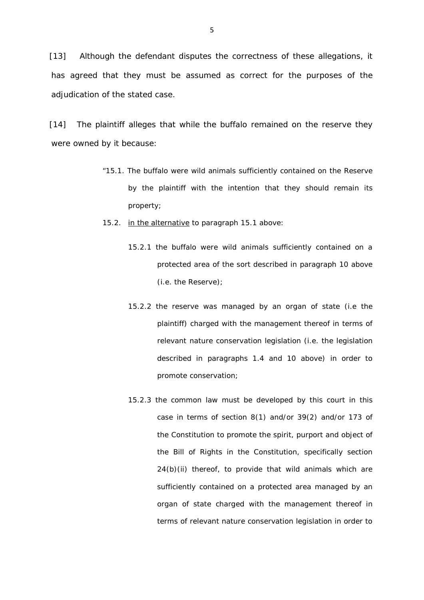[13] Although the defendant disputes the correctness of these allegations, it has agreed that they must be assumed as correct for the purposes of the adjudication of the stated case.

[14] The plaintiff alleges that while the buffalo remained on the reserve they were owned by it because:

- "15.1. The buffalo were wild animals sufficiently contained on the Reserve by the plaintiff with the intention that they should remain its property;
- 15.2. in the alternative to paragraph 15.1 above:
	- 15.2.1 the buffalo were wild animals sufficiently contained on a protected area of the sort described in paragraph 10 above (i.e. the Reserve);
	- 15.2.2 the reserve was managed by an organ of state (i.e the plaintiff) charged with the management thereof in terms of relevant nature conservation legislation (i.e. the legislation described in paragraphs 1.4 and 10 above) in order to promote conservation;
	- 15.2.3 the common law must be developed by this court in this case in terms of section 8(1) and/or 39(2) and/or 173 of the Constitution to promote the spirit, purport and object of the Bill of Rights in the Constitution, specifically section 24(b)(ii) thereof, to provide that wild animals which are sufficiently contained on a protected area managed by an organ of state charged with the management thereof in terms of relevant nature conservation legislation in order to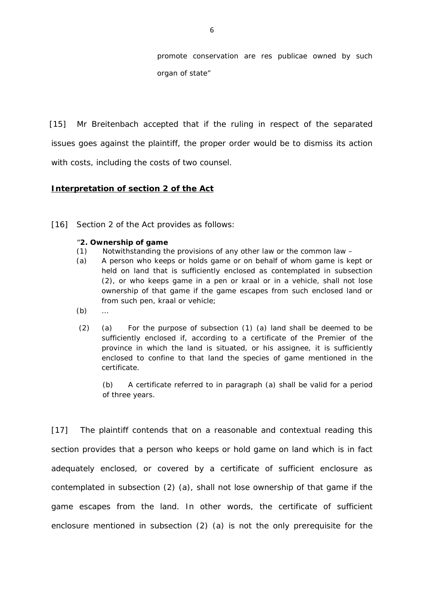promote conservation are *res publicae* owned by such organ of state"

[15] Mr *Breitenbach* accepted that if the ruling in respect of the separated issues goes against the plaintiff, the proper order would be to dismiss its action with costs, including the costs of two counsel.

### **Interpretation of section 2 of the Act**

[16] Section 2 of the Act provides as follows:

#### "**2. Ownership of game**

- (1) Notwithstanding the provisions of any other law or the common law –
- (a) A person who keeps or holds game or on behalf of whom game is kept or held on land that is sufficiently enclosed as contemplated in subsection (2), or who keeps game in a pen or kraal or in a vehicle, shall not lose ownership of that game if the game escapes from such enclosed land or from such pen, kraal or vehicle;
- (b) …
- (2) (a) For the purpose of subsection (1) (a) land shall be deemed to be sufficiently enclosed if, according to a certificate of the Premier of the province in which the land is situated, or his assignee, it is sufficiently enclosed to confine to that land the species of game mentioned in the certificate.

(b) A certificate referred to in paragraph (a) shall be valid for a period of three years.

[17] The plaintiff contends that on a reasonable and contextual reading this section provides that a person who keeps or hold game on land which is in fact adequately enclosed, or covered by a certificate of sufficient enclosure as contemplated in subsection (2) (a), shall not lose ownership of that game if the game escapes from the land. In other words, the certificate of sufficient enclosure mentioned in subsection (2) (a) is not the only prerequisite for the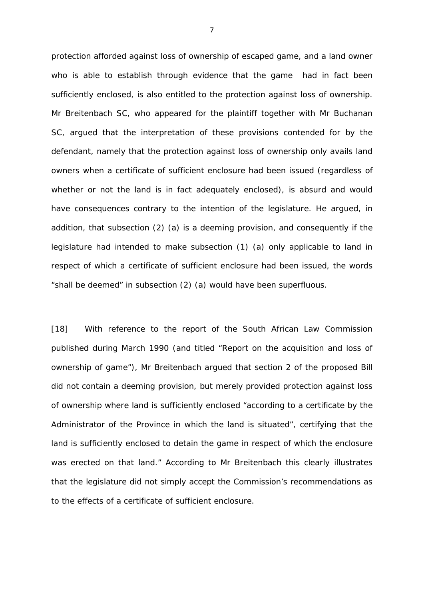protection afforded against loss of ownership of escaped game, and a land owner who is able to establish through evidence that the game had in fact been sufficiently enclosed, is also entitled to the protection against loss of ownership. Mr *Breitenbach SC,* who appeared for the plaintiff together with Mr *Buchanan SC,* argued that the interpretation of these provisions contended for by the defendant, namely that the protection against loss of ownership only avails land owners when a certificate of sufficient enclosure had been issued (regardless of whether or not the land is in fact adequately enclosed), is absurd and would have consequences contrary to the intention of the legislature. He argued, in addition, that subsection (2) (a) is a deeming provision, and consequently if the legislature had intended to make subsection (1) (a) only applicable to land in respect of which a certificate of sufficient enclosure had been issued, the words "*shall be deemed"* in subsection (2) (a) would have been superfluous.

[18] With reference to the report of the South African Law Commission published during March 1990 (and titled *"Report on the acquisition and loss of ownership of game"),* Mr *Breitenbach* argued that section 2 of the proposed Bill did not contain a deeming provision, but merely provided protection against loss of ownership where land is sufficiently enclosed "*according to a certificate by the Administrator of the Province in which the land is situated", certifying that the*  land is sufficiently enclosed to detain the game in respect of which the enclosure *was erected on that land."* According to Mr *Breitenbach* this clearly illustrates that the legislature did not simply accept the Commission's recommendations as to the effects of a certificate of sufficient enclosure.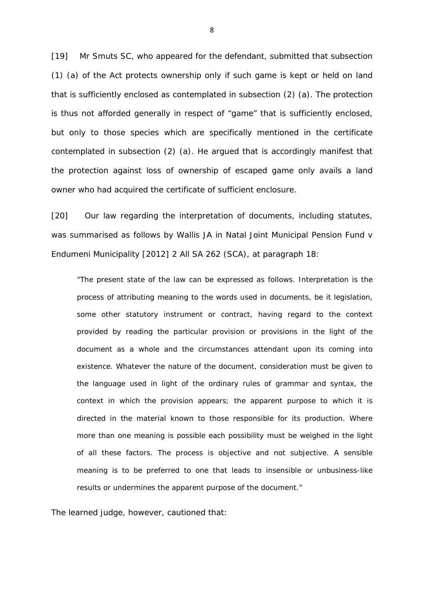[19] Mr *Smuts SC,* who appeared for the defendant, submitted that subsection (1) (a) of the Act protects ownership only if such game is kept or held on land that is sufficiently enclosed as contemplated in subsection (2) (a). The protection is thus not afforded generally in respect of "game" that is sufficiently enclosed, but only to those species which are specifically mentioned in the certificate contemplated in subsection (2) (a). He argued that is accordingly manifest that the protection against loss of ownership of escaped game only avails a land owner who had acquired the certificate of sufficient enclosure.

[20] Our law regarding the interpretation of documents, including statutes, was summarised as follows by Wallis JA in *Natal Joint Municipal Pension Fund v Endumeni Municipality* [2012] 2 All SA 262 (SCA), at paragraph 18:

"The present state of the law can be expressed as follows. Interpretation is the process of attributing meaning to the words used in documents, be it legislation, some other statutory instrument or contract, having regard to the context provided by reading the particular provision or provisions in the light of the document as a whole and the circumstances attendant upon its coming into existence. Whatever the nature of the document, consideration must be given to the language used in light of the ordinary rules of grammar and syntax, the context in which the provision appears; the apparent purpose to which it is directed in the material known to those responsible for its production. Where more than one meaning is possible each possibility must be weighed in the light of all these factors. The process is objective and not subjective. A sensible meaning is to be preferred to one that leads to insensible or unbusiness-like results or undermines the apparent purpose of the document."

The learned judge, however, cautioned that: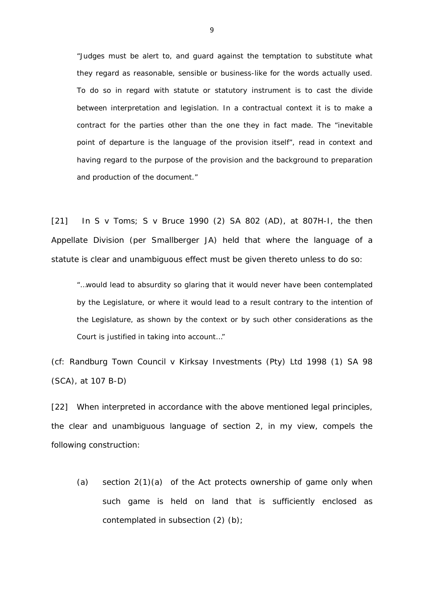"Judges must be alert to, and guard against the temptation to substitute what they regard as reasonable, sensible or business-like for the words actually used. To do so in regard with statute or statutory instrument is to cast the divide between interpretation and legislation. In a contractual context it is to make a contract for the parties other than the one they in fact made. The "inevitable point of departure is the language of the provision itself", read in context and having regard to the purpose of the provision and the background to preparation and production of the document."

[21] In *S v Toms; S v Bruce* 1990 (2) SA 802 (AD), at 807H-I, the then Appellate Division (per Smallberger JA) held that where the language of a statute is clear and unambiguous effect must be given thereto unless to do so:

"…would lead to absurdity so glaring that it would never have been contemplated by the Legislature, or where it would lead to a result contrary to the intention of the Legislature, as shown by the context or by such other considerations as the Court is justified in taking into account…"

(cf: *Randburg Town Council v Kirksay Investments (Pty) Ltd* 1998 (1) SA 98 (SCA), at 107 B-D)

[22] When interpreted in accordance with the above mentioned legal principles, the clear and unambiguous language of section 2, in my view, compels the following construction:

(a) section 2(1)(a) of the Act protects ownership of game only when such game is held on land that is sufficiently enclosed as contemplated in subsection (2) (b);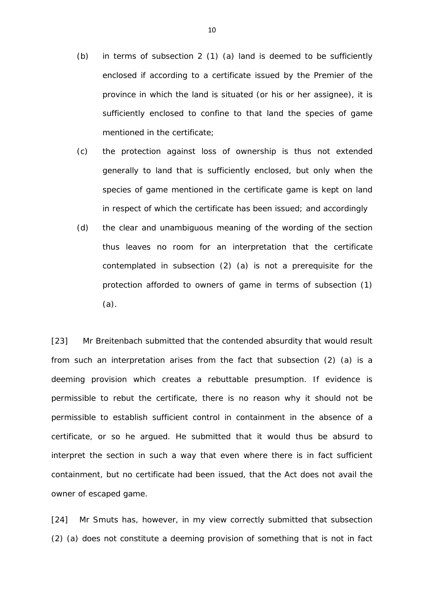- (b) in terms of subsection 2 (1) (a) land is deemed to be sufficiently enclosed if according to a certificate issued by the Premier of the province in which the land is situated (or his or her assignee), it is sufficiently enclosed to confine to that land the species of game mentioned in the certificate;
- (c) the protection against loss of ownership is thus not extended generally to land that is sufficiently enclosed, but only when the species of game mentioned in the certificate game is kept on land in respect of which the certificate has been issued; and accordingly
- (d) the clear and unambiguous meaning of the wording of the section thus leaves no room for an interpretation that the certificate contemplated in subsection (2) (a) is not a prerequisite for the protection afforded to owners of game in terms of subsection (1) (a).

[23] Mr *Breitenbach* submitted that the contended absurdity that would result from such an interpretation arises from the fact that subsection (2) (a) is a deeming provision which creates a rebuttable presumption. If evidence is permissible to rebut the certificate, there is no reason why it should not be permissible to establish sufficient control in containment in the absence of a certificate, or so he argued. He submitted that it would thus be absurd to interpret the section in such a way that even where there is in fact sufficient containment, but no certificate had been issued, that the Act does not avail the owner of escaped game.

[24] Mr *Smuts* has, however, in my view correctly submitted that subsection (2) (a) does not constitute a deeming provision of something that is not in fact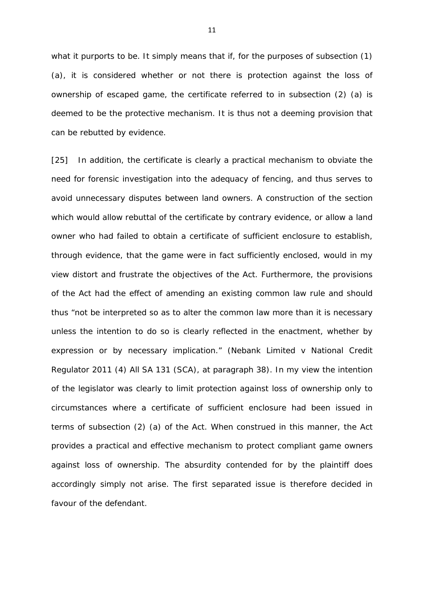what it purports to be. It simply means that if, for the purposes of subsection (1) (a), it is considered whether or not there is protection against the loss of ownership of escaped game, the certificate referred to in subsection (2) (a) is deemed to be the protective mechanism. It is thus not a deeming provision that can be rebutted by evidence.

[25] In addition, the certificate is clearly a practical mechanism to obviate the need for forensic investigation into the adequacy of fencing, and thus serves to avoid unnecessary disputes between land owners. A construction of the section which would allow rebuttal of the certificate by contrary evidence, or allow a land owner who had failed to obtain a certificate of sufficient enclosure to establish, through evidence, that the game were in fact sufficiently enclosed, would in my view distort and frustrate the objectives of the Act. Furthermore, the provisions of the Act had the effect of amending an existing common law rule and should thus "*not be interpreted so as to alter the common law more than it is necessary unless the intention to do so is clearly reflected in the enactment, whether by expression or by necessary implication."* (*Nebank Limited v National Credit Regulator* 2011 (4) All SA 131 (SCA), at paragraph 38). In my view the intention of the legislator was clearly to limit protection against loss of ownership only to circumstances where a certificate of sufficient enclosure had been issued in terms of subsection (2) (a) of the Act. When construed in this manner, the Act provides a practical and effective mechanism to protect compliant game owners against loss of ownership. The absurdity contended for by the plaintiff does accordingly simply not arise. The first separated issue is therefore decided in favour of the defendant.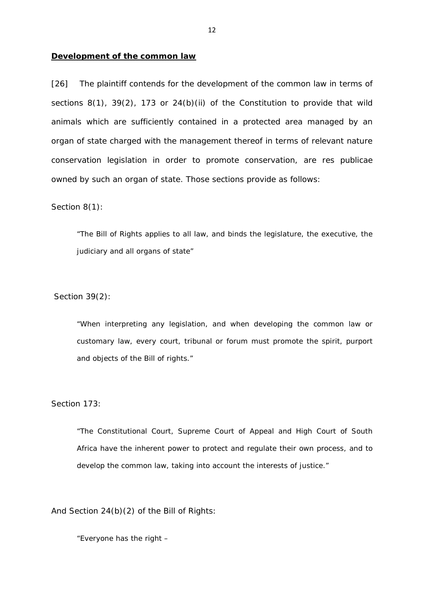#### **Development of the common law**

[26] The plaintiff contends for the development of the common law in terms of sections 8(1), 39(2), 173 or 24(b)(ii) of the Constitution to provide that wild animals which are sufficiently contained in a protected area managed by an organ of state charged with the management thereof in terms of relevant nature conservation legislation in order to promote conservation, are *res publicae*  owned by such an organ of state. Those sections provide as follows:

Section 8(1):

"The Bill of Rights applies to all law, and binds the legislature, the executive, the judiciary and all organs of state"

Section 39(2):

"When interpreting any legislation, and when developing the common law or customary law, every court, tribunal or forum must promote the spirit, purport and objects of the Bill of rights."

Section 173:

"The Constitutional Court, Supreme Court of Appeal and High Court of South Africa have the inherent power to protect and regulate their own process, and to develop the common law, taking into account the interests of justice."

And Section 24(b)(2) of the Bill of Rights:

"Everyone has the right –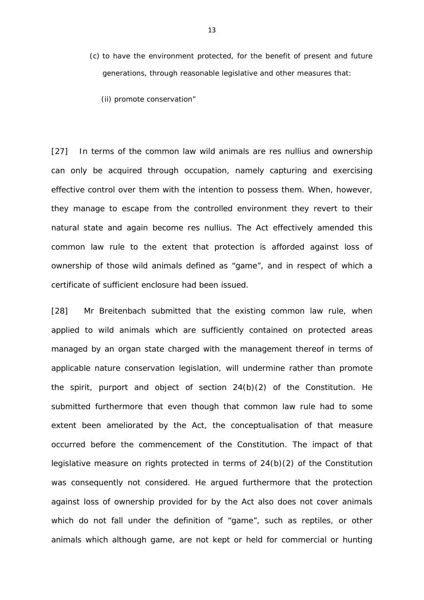- (c) to have the environment protected, for the benefit of present and future generations, through reasonable legislative and other measures that:
	- (ii) promote conservation"

[27] In terms of the common law wild animals are *res nullius* and ownership can only be acquired through occupation, namely capturing and exercising effective control over them with the intention to possess them. When, however, they manage to escape from the controlled environment they revert to their natural state and again become *res nullius*. The Act effectively amended this common law rule to the extent that protection is afforded against loss of ownership of those wild animals defined as "game", and in respect of which a certificate of sufficient enclosure had been issued.

[28] Mr *Breitenbach* submitted that the existing common law rule, when applied to wild animals which are sufficiently contained on protected areas managed by an organ state charged with the management thereof in terms of applicable nature conservation legislation, will undermine rather than promote the spirit, purport and object of section 24(b)(2) of the Constitution. He submitted furthermore that even though that common law rule had to some extent been ameliorated by the Act, the conceptualisation of that measure occurred before the commencement of the Constitution. The impact of that legislative measure on rights protected in terms of 24(b)(2) of the Constitution was consequently not considered. He argued furthermore that the protection against loss of ownership provided for by the Act also does not cover animals which do not fall under the definition of "game", such as reptiles, or other animals which although game, are not kept or held for commercial or hunting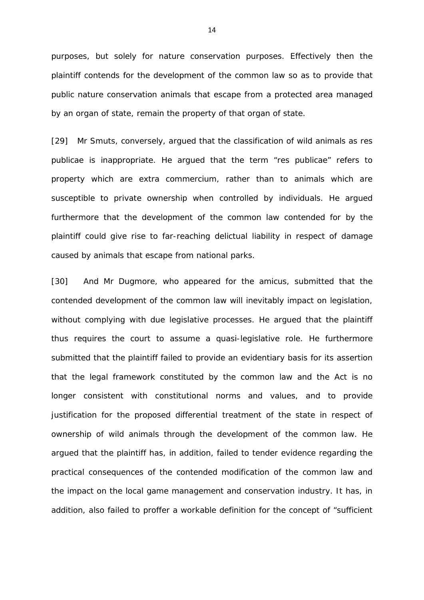purposes, but solely for nature conservation purposes. Effectively then the plaintiff contends for the development of the common law so as to provide that public nature conservation animals that escape from a protected area managed by an organ of state, remain the property of that organ of state.

[29] Mr *Smuts,* conversely, argued that the classification of wild animals as *res publicae* is inappropriate. He argued that the term "*res publicae"* refers to property which are *extra commercium*, rather than to animals which are susceptible to private ownership when controlled by individuals. He argued furthermore that the development of the common law contended for by the plaintiff could give rise to far-reaching delictual liability in respect of damage caused by animals that escape from national parks.

[30] And Mr *Dugmore,* who appeared for the amicus, submitted that the contended development of the common law will inevitably impact on legislation, without complying with due legislative processes. He argued that the plaintiff thus requires the court to assume a quasi-legislative role. He furthermore submitted that the plaintiff failed to provide an evidentiary basis for its assertion that the legal framework constituted by the common law and the Act is no longer consistent with constitutional norms and values, and to provide justification for the proposed differential treatment of the state in respect of ownership of wild animals through the development of the common law. He argued that the plaintiff has, in addition, failed to tender evidence regarding the practical consequences of the contended modification of the common law and the impact on the local game management and conservation industry. It has, in addition, also failed to proffer a workable definition for the concept of "sufficient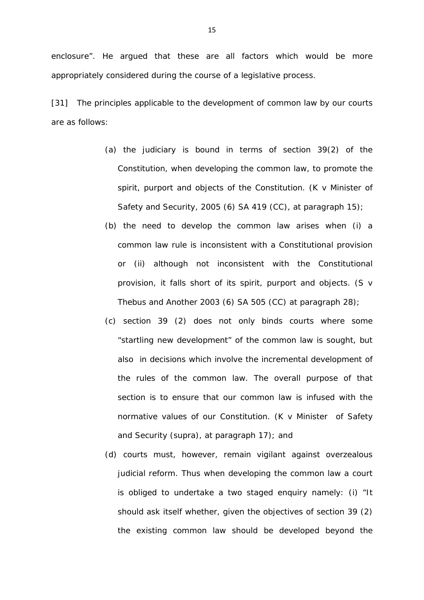[31] The principles applicable to the development of common law by our courts are as follows:

- (a) the judiciary is bound in terms of section 39(2) of the Constitution, when developing the common law, to promote the spirit, purport and objects of the Constitution. (*K v Minister of Safety and Security,* 2005 (6) SA 419 (CC), at paragraph 15);
- (b) the need to develop the common law arises when (i) a common law rule is inconsistent with a Constitutional provision or (ii) although not inconsistent with the Constitutional provision, it falls short of its spirit, purport and objects. (*S v Thebus and Another* 2003 (6) SA 505 (CC) at paragraph 28);
- (c) section 39 (2) does not only binds courts where some "startling new development" of the common law is sought, but also in decisions which involve the incremental development of the rules of the common law. The overall purpose of that section is to ensure that our common law is infused with the normative values of our Constitution. (*K v Minister of Safety and Security* (supra), at paragraph 17); and
- (d) courts must, however, remain vigilant against overzealous judicial reform. Thus when developing the common law a court is obliged to undertake a two staged enquiry namely: (i) *"It should ask itself whether, given the objectives of section 39 (2) the existing common law should be developed beyond the*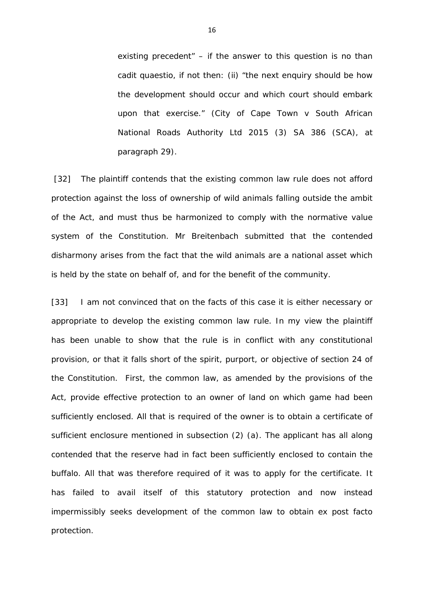*existing precedent"* – if the answer to this question is no than *cadit quaestio*, if not then: (ii) *"the next enquiry should be how the development should occur and which court should embark upon that exercise."* (*City of Cape Town v South African National Roads Authority Ltd* 2015 (3) SA 386 (SCA), at paragraph 29).

[32] The plaintiff contends that the existing common law rule does not afford protection against the loss of ownership of wild animals falling outside the ambit of the Act, and must thus be harmonized to comply with the normative value system of the Constitution. Mr *Breitenbach* submitted that the contended disharmony arises from the fact that the wild animals are a national asset which is held by the state on behalf of, and for the benefit of the community.

[33] I am not convinced that on the facts of this case it is either necessary or appropriate to develop the existing common law rule. In my view the plaintiff has been unable to show that the rule is in conflict with any constitutional provision, or that it falls short of the spirit, purport, or objective of section 24 of the Constitution. First, the common law, as amended by the provisions of the Act, provide effective protection to an owner of land on which game had been sufficiently enclosed. All that is required of the owner is to obtain a certificate of sufficient enclosure mentioned in subsection (2) (a). The applicant has all along contended that the reserve had in fact been sufficiently enclosed to contain the buffalo. All that was therefore required of it was to apply for the certificate. It has failed to avail itself of this statutory protection and now instead impermissibly seeks development of the common law to obtain *ex post facto*  protection.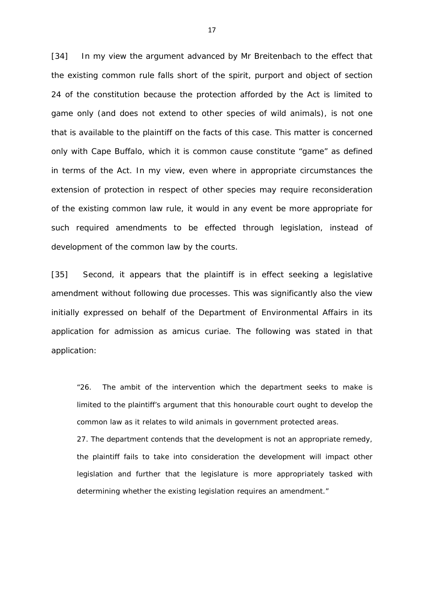[34] In my view the argument advanced by Mr *Breitenbach* to the effect that the existing common rule falls short of the spirit, purport and object of section 24 of the constitution because the protection afforded by the Act is limited to game only (and does not extend to other species of wild animals), is not one that is available to the plaintiff on the facts of this case. This matter is concerned only with Cape Buffalo, which it is common cause constitute "game" as defined in terms of the Act. In my view, even where in appropriate circumstances the extension of protection in respect of other species may require reconsideration of the existing common law rule, it would in any event be more appropriate for such required amendments to be effected through legislation, instead of development of the common law by the courts.

[35] Second, it appears that the plaintiff is in effect seeking a legislative amendment without following due processes. This was significantly also the view initially expressed on behalf of the Department of Environmental Affairs in its application for admission as *amicus curiae.* The following was stated in that application:

"26. The ambit of the intervention which the department seeks to make is limited to the plaintiff's argument that this honourable court ought to develop the common law as it relates to wild animals in government protected areas.

27. The department contends that the development is not an appropriate remedy, the plaintiff fails to take into consideration the development will impact other legislation and further that the legislature is more appropriately tasked with determining whether the existing legislation requires an amendment."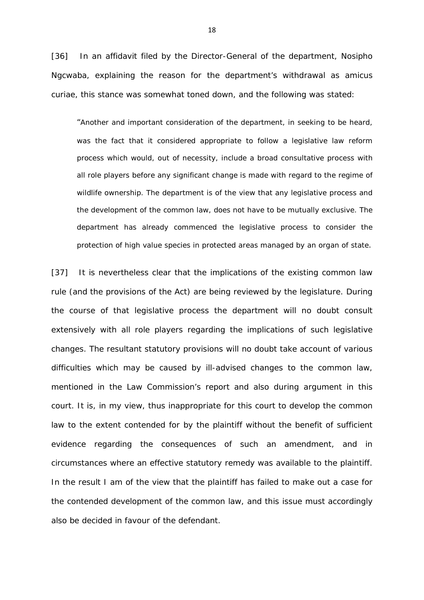[36] In an affidavit filed by the Director-General of the department, Nosipho Ngcwaba, explaining the reason for the department's withdrawal as *amicus curiae,* this stance was somewhat toned down, and the following was stated:

"Another and important consideration of the department, in seeking to be heard, was the fact that it considered appropriate to follow a legislative law reform process which would, out of necessity, include a broad consultative process with all role players before any significant change is made with regard to the regime of wildlife ownership. The department is of the view that any legislative process and the development of the common law, does not have to be mutually exclusive. The department has already commenced the legislative process to consider the protection of high value species in protected areas managed by an organ of state.

[37] It is nevertheless clear that the implications of the existing common law rule (and the provisions of the Act) are being reviewed by the legislature. During the course of that legislative process the department will no doubt consult extensively with all role players regarding the implications of such legislative changes. The resultant statutory provisions will no doubt take account of various difficulties which may be caused by ill-advised changes to the common law, mentioned in the Law Commission's report and also during argument in this court. It is, in my view, thus inappropriate for this court to develop the common law to the extent contended for by the plaintiff without the benefit of sufficient evidence regarding the consequences of such an amendment, and in circumstances where an effective statutory remedy was available to the plaintiff. In the result I am of the view that the plaintiff has failed to make out a case for the contended development of the common law, and this issue must accordingly also be decided in favour of the defendant.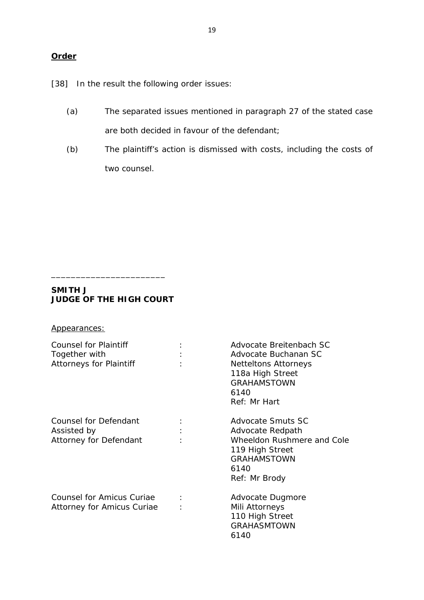[38] In the result the following order issues:

- (a) The separated issues mentioned in paragraph 27 of the stated case are both decided in favour of the defendant;
- (b) The plaintiff's action is dismissed with costs, including the costs of two counsel.

## **SMITH J JUDGE OF THE HIGH COURT**

\_\_\_\_\_\_\_\_\_\_\_\_\_\_\_\_\_\_\_\_\_\_\_

| Appearances:                                                             |                |                                                                                                                                                  |
|--------------------------------------------------------------------------|----------------|--------------------------------------------------------------------------------------------------------------------------------------------------|
| Counsel for Plaintiff<br>Together with<br><b>Attorneys for Plaintiff</b> | $\ddot{\cdot}$ | Advocate Breitenbach SC<br>Advocate Buchanan SC<br><b>Netteltons Attorneys</b><br>118a High Street<br><b>GRAHAMSTOWN</b><br>6140<br>Ref: Mr Hart |
| Counsel for Defendant<br>Assisted by<br>Attorney for Defendant           |                | Advocate Smuts SC<br>Advocate Redpath<br>Wheeldon Rushmere and Cole<br>119 High Street<br><b>GRAHAMSTOWN</b><br>6140<br>Ref: Mr Brody            |
| Counsel for Amicus Curiae<br>Attorney for Amicus Curiae                  | ÷              | Advocate Dugmore<br>Mili Attorneys<br>110 High Street<br><b>GRAHASMTOWN</b><br>6140                                                              |